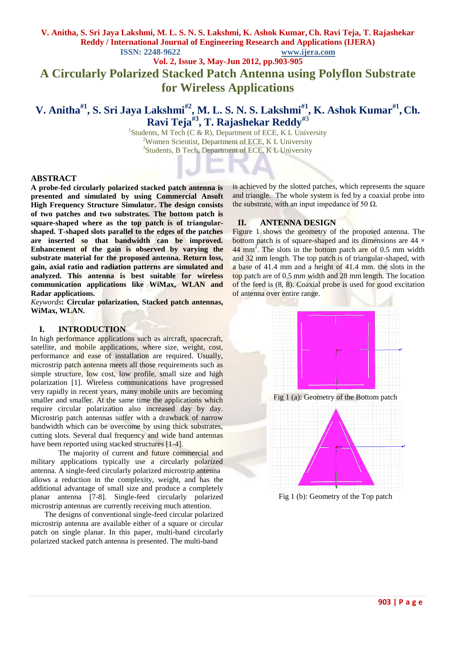#### **V. Anitha, S. Sri Jaya Lakshmi, M. L. S. N. S. Lakshmi, K. Ashok Kumar, Ch. Ravi Teja, T. Rajashekar Reddy / International Journal of Engineering Research and Applications (IJERA) ISSN: 2248-9622 www.ijera.com**

**Vol. 2, Issue 3, May-Jun 2012, pp.903-905**

# **A Circularly Polarized Stacked Patch Antenna using Polyflon Substrate for Wireless Applications**

# **V. Anitha#1, S. Sri Jaya Lakshmi#2 , M. L. S. N. S. Lakshmi#1 , K. Ashok Kumar#1 , Ch. Ravi Teja<sup>#3</sup>, T. Rajashekar Reddy<sup>#3</sup>**<br><sup>1</sup>Students, M Tech (C & R), Department of ECE, K L University

<sup>2</sup>Women Scientist, Department of ECE, K L University <sup>3</sup>Students, B Tech, Department of ECE, K L University

#### **ABSTRACT**

**A probe-fed circularly polarized stacked patch antenna is presented and simulated by using Commercial Ansoft High Frequency Structure Simulator. The design consists of two patches and two substrates. The bottom patch is square-shaped where as the top patch is of triangularshaped. T-shaped slots parallel to the edges of the patches are inserted so that bandwidth can be improved. Enhancement of the gain is observed by varying the substrate material for the proposed antenna. Return loss, gain, axial ratio and radiation patterns are simulated and analyzed. This antenna is best suitable for wireless communication applications like WiMax, WLAN and Radar applications.**

*Keywords***: Circular polarization, Stacked patch antennas, WiMax, WLAN.**

#### **I. INTRODUCTION**

In high performance applications such as aircraft, spacecraft, satellite, and mobile applications, where size, weight, cost, performance and ease of installation are required. Usually, microstrip patch antenna meets all those requirements such as simple structure, low cost, low profile, small size and high polarization [1]. Wireless communications have progressed very rapidly in recent years, many mobile units are becoming smaller and smaller. At the same time the applications which require circular polarization also increased day by day. Microstrip patch antennas suffer with a drawback of narrow bandwidth which can be overcome by using thick substrates, cutting slots. Several dual frequency and wide band antennas have been reported using stacked structures [1-4].

The majority of current and future commercial and military applications typically use a circularly polarized antenna. A single-feed circularly polarized microstrip antenna allows a reduction in the complexity, weight, and has the additional advantage of small size and produce a completely planar antenna [7-8]. Single-feed circularly polarized microstrip antennas are currently receiving much attention.

The designs of conventional single-feed circular polarized microstrip antenna are available either of a square or circular patch on single planar. In this paper, multi-band circularly polarized stacked patch antenna is presented. The multi-band

is achieved by the slotted patches, which represents the square and triangle. The whole system is fed by a coaxial probe into the substrate, with an input impedance of 50  $Ω$ .

#### **II. ANTENNA DESIGN**

Figure 1 shows the geometry of the proposed antenna. The bottom patch is of square-shaped and its dimensions are  $44 \times$  $44 \text{ mm}^2$ . The slots in the bottom patch are of 0.5 mm width and 32 mm length. The top patch is of triangular-shaped, with a base of 41.4 mm and a height of 41.4 mm. the slots in the top patch are of 0.5 mm width and 28 mm length. The location of the feed is (8, 8). Coaxial probe is used for good excitation of antenna over entire range.

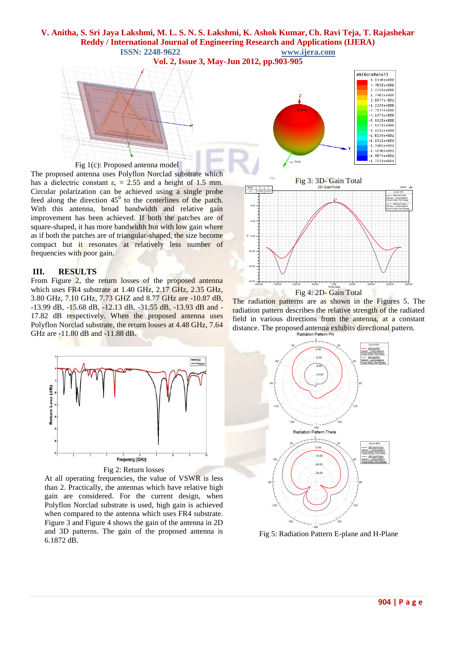# **V. Anitha, S. Sri Jaya Lakshmi, M. L. S. N. S. Lakshmi, K. Ashok Kumar, Ch. Ravi Teja, T. Rajashekar Reddy / International Journal of Engineering Research and Applications (IJERA) ISSN: 2248-9622 www.ijera.com**

**Vol. 2, Issue 3, May-Jun 2012, pp.903-905**



The proposed antenna uses Polyflon Norclad substrate which has a dielectric constant  $\varepsilon_r = 2.55$  and a height of 1.5 mm. Circular polarization can be achieved using a single probe feed along the direction  $45^{\circ}$  to the centerlines of the patch. With this antenna, broad bandwidth and relative gain improvement has been achieved. If both the patches are of square-shaped, it has more bandwidth but with low gain where as if both the patches are of triangular-shaped, the size become compact but it resonates at relatively less number of frequencies with poor gain.

#### **III. RESULTS**

From Figure 2, the return losses of the proposed antenna which uses FR4 substrate at 1.40 GHz, 2.17 GHz, 2.35 GHz, 3.80 GHz, 7.10 GHz, 7.73 GHZ and 8.77 GHz are -10.87 dB, -13.99 dB, -15.68 dB, -12.13 dB, -31.55 dB, -13.93 dB and - 17.82 dB respectively. When the proposed antenna uses Polyflon Norclad substrate, the return losses at 4.48 GHz, 7.64 GHz are -11.80 dB and -11.88 dB.



At all operating frequencies, the value of VSWR is less than 2. Practically, the antennas which have relative high gain are considered. For the current design, when Polyflon Norclad substrate is used, high gain is achieved when compared to the antenna which uses FR4 substrate. Figure 3 and Figure 4 shows the gain of the antenna in 2D and 3D patterns. The gain of the proposed antenna is 6.1872 dB.





The radiation patterns are as shown in the Figures 5. The radiation pattern describes the relative strength of the radiated field in various directions from the antenna, at a constant distance. The proposed antenna exhibits directional pattern.



Fig 5: Radiation Pattern E-plane and H-Plane